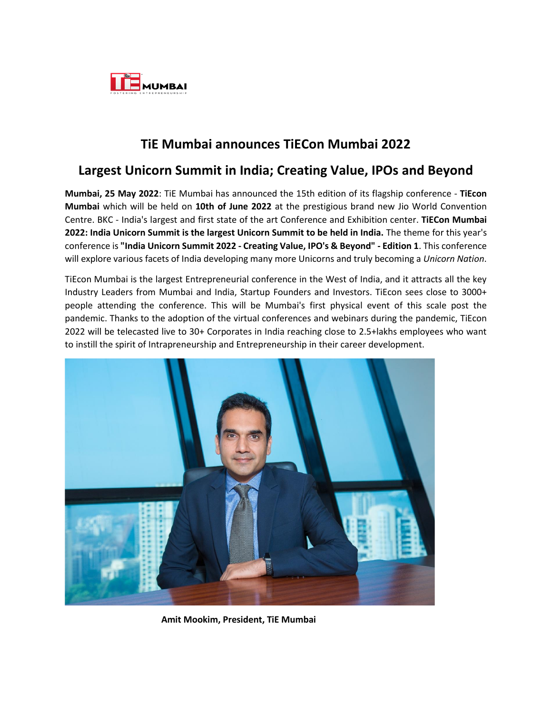

## **TiE Mumbai announces TiECon Mumbai 2022**

## **Largest Unicorn Summit in India; Creating Value, IPOs and Beyond**

**Mumbai, 25 May 2022**: TiE Mumbai has announced the 15th edition of its flagship conference - **TiEcon Mumbai** which will be held on **10th of June 2022** at the prestigious brand new Jio World Convention Centre. BKC - India's largest and first state of the art Conference and Exhibition center. **TiECon Mumbai 2022: India Unicorn Summit is the largest Unicorn Summit to be held in India.** The theme for this year's conference is **"India Unicorn Summit 2022 - Creating Value, IPO's & Beyond" - Edition 1**. This conference will explore various facets of India developing many more Unicorns and truly becoming a *Unicorn Nation*.

TiEcon Mumbai is the largest Entrepreneurial conference in the West of India, and it attracts all the key Industry Leaders from Mumbai and India, Startup Founders and Investors. TiEcon sees close to 3000+ people attending the conference. This will be Mumbai's first physical event of this scale post the pandemic. Thanks to the adoption of the virtual conferences and webinars during the pandemic, TiEcon 2022 will be telecasted live to 30+ Corporates in India reaching close to 2.5+lakhs employees who want to instill the spirit of Intrapreneurship and Entrepreneurship in their career development.



 **Amit Mookim, President, TiE Mumbai**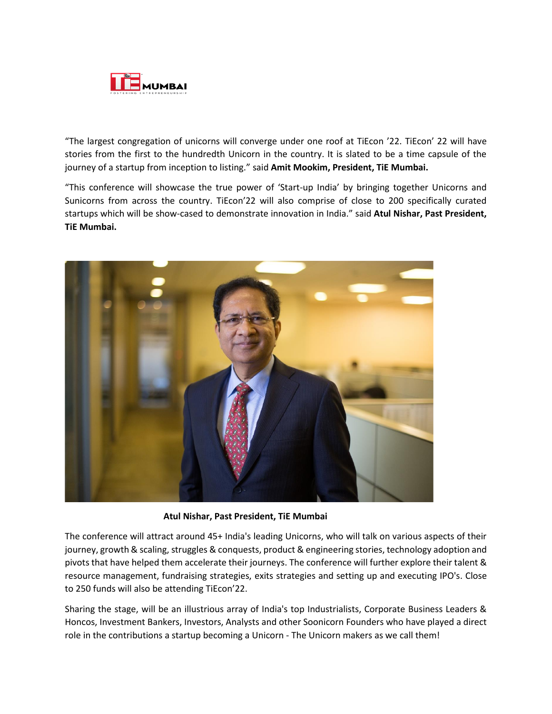

"The largest congregation of unicorns will converge under one roof at TiEcon '22. TiEcon' 22 will have stories from the first to the hundredth Unicorn in the country. It is slated to be a time capsule of the journey of a startup from inception to listing." said **Amit Mookim, President, TiE Mumbai.**

"This conference will showcase the true power of 'Start-up India' by bringing together Unicorns and Sunicorns from across the country. TiEcon'22 will also comprise of close to 200 specifically curated startups which will be show-cased to demonstrate innovation in India." said **Atul Nishar, Past President, TiE Mumbai.**



 **Atul Nishar, Past President, TiE Mumbai**

The conference will attract around 45+ India's leading Unicorns, who will talk on various aspects of their journey, growth & scaling, struggles & conquests, product & engineering stories, technology adoption and pivots that have helped them accelerate their journeys. The conference will further explore their talent & resource management, fundraising strategies, exits strategies and setting up and executing IPO's. Close to 250 funds will also be attending TiEcon'22.

Sharing the stage, will be an illustrious array of India's top Industrialists, Corporate Business Leaders & Honcos, Investment Bankers, Investors, Analysts and other Soonicorn Founders who have played a direct role in the contributions a startup becoming a Unicorn - The Unicorn makers as we call them!